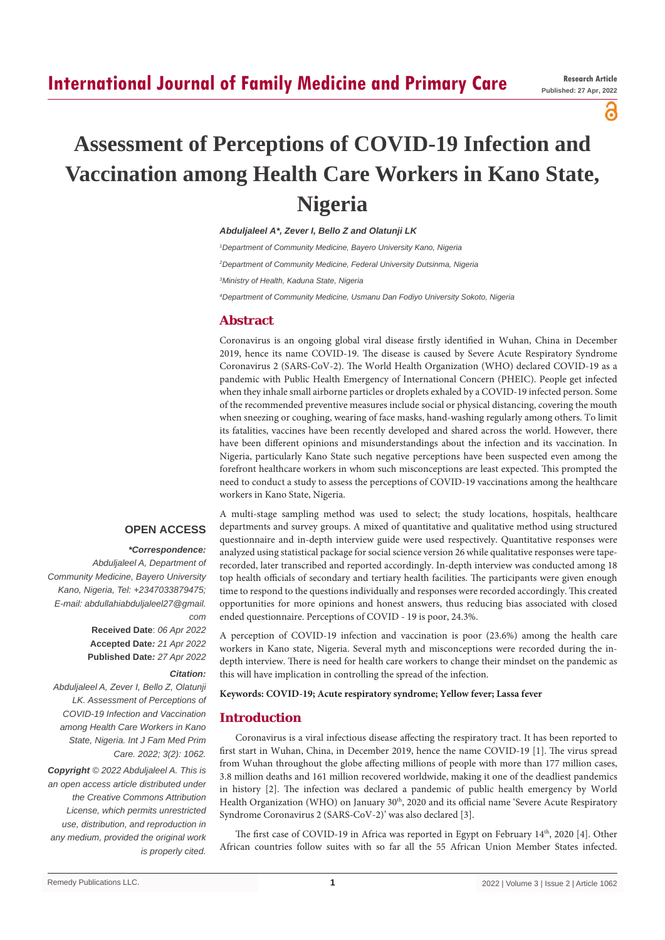# **International Journal of Family Medicine and Primary Care**

പ

# **Assessment of Perceptions of COVID-19 Infection and Vaccination among Health Care Workers in Kano State, Nigeria**

*Abduljaleel A\*, Zever I, Bello Z and Olatunji LK*

 *Department of Community Medicine, Bayero University Kano, Nigeria Department of Community Medicine, Federal University Dutsinma, Nigeria Ministry of Health, Kaduna State, Nigeria Department of Community Medicine, Usmanu Dan Fodiyo University Sokoto, Nigeria*

# **Abstract**

Coronavirus is an ongoing global viral disease firstly identified in Wuhan, China in December 2019, hence its name COVID-19. The disease is caused by Severe Acute Respiratory Syndrome Coronavirus 2 (SARS-CoV-2). The World Health Organization (WHO) declared COVID-19 as a pandemic with Public Health Emergency of International Concern (PHEIC). People get infected when they inhale small airborne particles or droplets exhaled by a COVID-19 infected person. Some of the recommended preventive measures include social or physical distancing, covering the mouth when sneezing or coughing, wearing of face masks, hand-washing regularly among others. To limit its fatalities, vaccines have been recently developed and shared across the world. However, there have been different opinions and misunderstandings about the infection and its vaccination. In Nigeria, particularly Kano State such negative perceptions have been suspected even among the forefront healthcare workers in whom such misconceptions are least expected. This prompted the need to conduct a study to assess the perceptions of COVID-19 vaccinations among the healthcare workers in Kano State, Nigeria.

#### **OPEN ACCESS**

#### *\*Correspondence:*

*Abduljaleel A, Department of Community Medicine, Bayero University Kano, Nigeria, Tel: +2347033879475; E-mail: abdullahiabduljaleel27@gmail. com*

**Received Date**: *06 Apr 2022* **Accepted Date***: 21 Apr 2022* **Published Date***: 27 Apr 2022*

#### *Citation:*

*Abduljaleel A, Zever I, Bello Z, Olatunji LK. Assessment of Perceptions of COVID-19 Infection and Vaccination among Health Care Workers in Kano State, Nigeria. Int J Fam Med Prim Care. 2022; 3(2): 1062.*

*Copyright © 2022 Abduljaleel A. This is an open access article distributed under the Creative Commons Attribution License, which permits unrestricted use, distribution, and reproduction in any medium, provided the original work is properly cited.*

A multi-stage sampling method was used to select; the study locations, hospitals, healthcare departments and survey groups. A mixed of quantitative and qualitative method using structured questionnaire and in-depth interview guide were used respectively. Quantitative responses were analyzed using statistical package for social science version 26 while qualitative responses were taperecorded, later transcribed and reported accordingly. In-depth interview was conducted among 18 top health officials of secondary and tertiary health facilities. The participants were given enough time to respond to the questions individually and responses were recorded accordingly. This created opportunities for more opinions and honest answers, thus reducing bias associated with closed ended questionnaire. Perceptions of COVID - 19 is poor, 24.3%.

A perception of COVID-19 infection and vaccination is poor (23.6%) among the health care workers in Kano state, Nigeria. Several myth and misconceptions were recorded during the indepth interview. There is need for health care workers to change their mindset on the pandemic as this will have implication in controlling the spread of the infection.

#### **Keywords: COVID-19; Acute respiratory syndrome; Yellow fever; Lassa fever**

# **Introduction**

Coronavirus is a viral infectious disease affecting the respiratory tract. It has been reported to first start in Wuhan, China, in December 2019, hence the name COVID-19 [1]. The virus spread from Wuhan throughout the globe affecting millions of people with more than 177 million cases, 3.8 million deaths and 161 million recovered worldwide, making it one of the deadliest pandemics in history [2]. The infection was declared a pandemic of public health emergency by World Health Organization (WHO) on January  $30<sup>th</sup>$ , 2020 and its official name 'Severe Acute Respiratory Syndrome Coronavirus 2 (SARS-CoV-2)' was also declared [3].

The first case of COVID-19 in Africa was reported in Egypt on February 14th, 2020 [4]. Other African countries follow suites with so far all the 55 African Union Member States infected.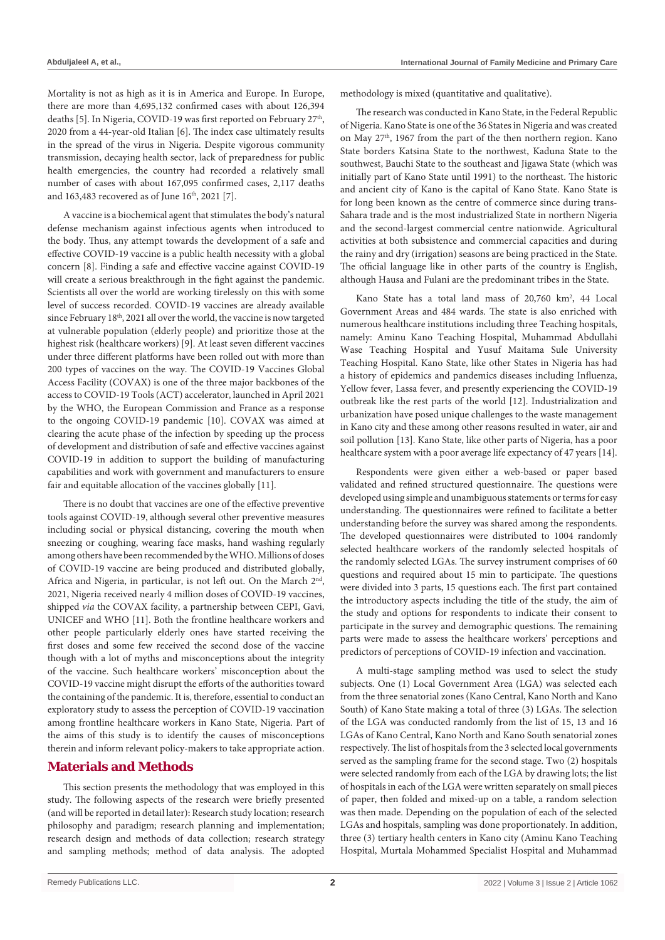Mortality is not as high as it is in America and Europe. In Europe, there are more than 4,695,132 confirmed cases with about 126,394 deaths [5]. In Nigeria, COVID-19 was first reported on February 27<sup>th</sup>, 2020 from a 44-year-old Italian [6]. The index case ultimately results in the spread of the virus in Nigeria. Despite vigorous community transmission, decaying health sector, lack of preparedness for public health emergencies, the country had recorded a relatively small number of cases with about 167,095 confirmed cases, 2,117 deaths and 163,483 recovered as of June 16<sup>th</sup>, 2021 [7].

A vaccine is a biochemical agent that stimulates the body's natural defense mechanism against infectious agents when introduced to the body. Thus, any attempt towards the development of a safe and effective COVID-19 vaccine is a public health necessity with a global concern [8]. Finding a safe and effective vaccine against COVID-19 will create a serious breakthrough in the fight against the pandemic. Scientists all over the world are working tirelessly on this with some level of success recorded. COVID-19 vaccines are already available since February 18<sup>th</sup>, 2021 all over the world, the vaccine is now targeted at vulnerable population (elderly people) and prioritize those at the highest risk (healthcare workers) [9]. At least seven different vaccines under three different platforms have been rolled out with more than 200 types of vaccines on the way. The COVID-19 Vaccines Global Access Facility (COVAX) is one of the three major backbones of the access to COVID-19 Tools (ACT) accelerator, launched in April 2021 by the WHO, the European Commission and France as a response to the ongoing COVID-19 pandemic [10]. COVAX was aimed at clearing the acute phase of the infection by speeding up the process of development and distribution of safe and effective vaccines against COVID-19 in addition to support the building of manufacturing capabilities and work with government and manufacturers to ensure fair and equitable allocation of the vaccines globally [11].

There is no doubt that vaccines are one of the effective preventive tools against COVID-19, although several other preventive measures including social or physical distancing, covering the mouth when sneezing or coughing, wearing face masks, hand washing regularly among others have been recommended by the WHO. Millions of doses of COVID-19 vaccine are being produced and distributed globally, Africa and Nigeria, in particular, is not left out. On the March  $2<sup>nd</sup>$ , 2021, Nigeria received nearly 4 million doses of COVID-19 vaccines, shipped *via* the COVAX facility, a partnership between CEPI, Gavi, UNICEF and WHO [11]. Both the frontline healthcare workers and other people particularly elderly ones have started receiving the first doses and some few received the second dose of the vaccine though with a lot of myths and misconceptions about the integrity of the vaccine. Such healthcare workers' misconception about the COVID-19 vaccine might disrupt the efforts of the authorities toward the containing of the pandemic. It is, therefore, essential to conduct an exploratory study to assess the perception of COVID-19 vaccination among frontline healthcare workers in Kano State, Nigeria. Part of the aims of this study is to identify the causes of misconceptions therein and inform relevant policy-makers to take appropriate action.

# **Materials and Methods**

This section presents the methodology that was employed in this study. The following aspects of the research were briefly presented (and will be reported in detail later): Research study location; research philosophy and paradigm; research planning and implementation; research design and methods of data collection; research strategy and sampling methods; method of data analysis. The adopted methodology is mixed (quantitative and qualitative).

The research was conducted in Kano State, in the Federal Republic of Nigeria. Kano State is one of the 36 States in Nigeria and was created on May 27<sup>th</sup>, 1967 from the part of the then northern region. Kano State borders Katsina State to the northwest, Kaduna State to the southwest, Bauchi State to the southeast and Jigawa State (which was initially part of Kano State until 1991) to the northeast. The historic and ancient city of Kano is the capital of Kano State. Kano State is for long been known as the centre of commerce since during trans-Sahara trade and is the most industrialized State in northern Nigeria and the second-largest commercial centre nationwide. Agricultural activities at both subsistence and commercial capacities and during the rainy and dry (irrigation) seasons are being practiced in the State. The official language like in other parts of the country is English, although Hausa and Fulani are the predominant tribes in the State.

Kano State has a total land mass of 20,760 km<sup>2</sup>, 44 Local Government Areas and 484 wards. The state is also enriched with numerous healthcare institutions including three Teaching hospitals, namely: Aminu Kano Teaching Hospital, Muhammad Abdullahi Wase Teaching Hospital and Yusuf Maitama Sule University Teaching Hospital. Kano State, like other States in Nigeria has had a history of epidemics and pandemics diseases including Influenza, Yellow fever, Lassa fever, and presently experiencing the COVID-19 outbreak like the rest parts of the world [12]. Industrialization and urbanization have posed unique challenges to the waste management in Kano city and these among other reasons resulted in water, air and soil pollution [13]. Kano State, like other parts of Nigeria, has a poor healthcare system with a poor average life expectancy of 47 years [14].

Respondents were given either a web-based or paper based validated and refined structured questionnaire. The questions were developed using simple and unambiguous statements or terms for easy understanding. The questionnaires were refined to facilitate a better understanding before the survey was shared among the respondents. The developed questionnaires were distributed to 1004 randomly selected healthcare workers of the randomly selected hospitals of the randomly selected LGAs. The survey instrument comprises of 60 questions and required about 15 min to participate. The questions were divided into 3 parts, 15 questions each. The first part contained the introductory aspects including the title of the study, the aim of the study and options for respondents to indicate their consent to participate in the survey and demographic questions. The remaining parts were made to assess the healthcare workers' perceptions and predictors of perceptions of COVID-19 infection and vaccination.

A multi-stage sampling method was used to select the study subjects. One (1) Local Government Area (LGA) was selected each from the three senatorial zones (Kano Central, Kano North and Kano South) of Kano State making a total of three (3) LGAs. The selection of the LGA was conducted randomly from the list of 15, 13 and 16 LGAs of Kano Central, Kano North and Kano South senatorial zones respectively. The list of hospitals from the 3 selected local governments served as the sampling frame for the second stage. Two (2) hospitals were selected randomly from each of the LGA by drawing lots; the list of hospitals in each of the LGA were written separately on small pieces of paper, then folded and mixed-up on a table, a random selection was then made. Depending on the population of each of the selected LGAs and hospitals, sampling was done proportionately. In addition, three (3) tertiary health centers in Kano city (Aminu Kano Teaching Hospital, Murtala Mohammed Specialist Hospital and Muhammad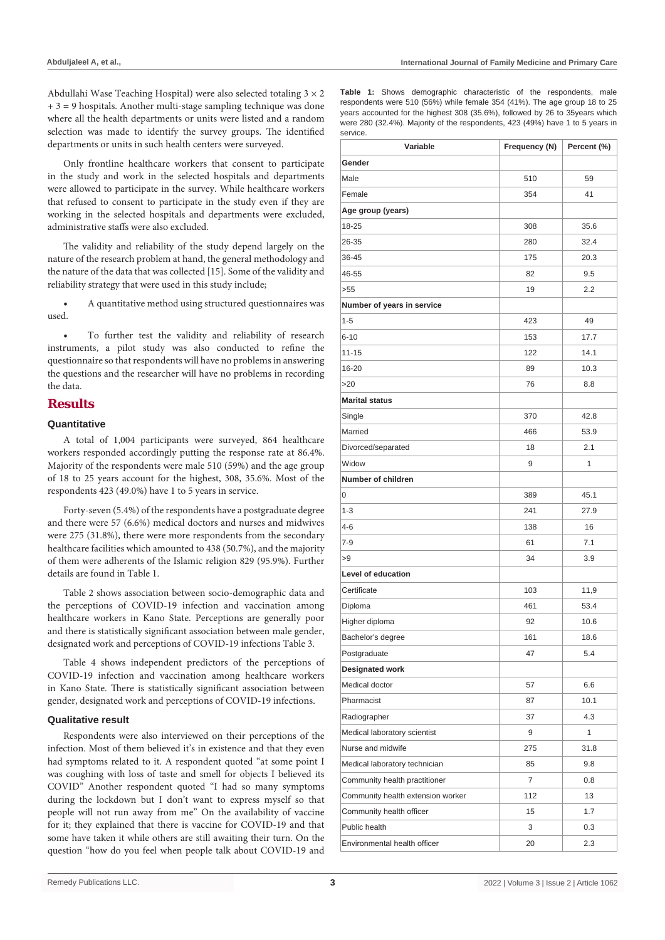Abdullahi Wase Teaching Hospital) were also selected totaling 3 × 2  $+ 3 = 9$  hospitals. Another multi-stage sampling technique was done where all the health departments or units were listed and a random selection was made to identify the survey groups. The identified departments or units in such health centers were surveyed.

Only frontline healthcare workers that consent to participate in the study and work in the selected hospitals and departments were allowed to participate in the survey. While healthcare workers that refused to consent to participate in the study even if they are working in the selected hospitals and departments were excluded, administrative staffs were also excluded.

The validity and reliability of the study depend largely on the nature of the research problem at hand, the general methodology and the nature of the data that was collected [15]. Some of the validity and reliability strategy that were used in this study include;

A quantitative method using structured questionnaires was used.

To further test the validity and reliability of research instruments, a pilot study was also conducted to refine the questionnaire so that respondents will have no problems in answering the questions and the researcher will have no problems in recording the data.

# **Results**

### **Quantitative**

A total of 1,004 participants were surveyed, 864 healthcare workers responded accordingly putting the response rate at 86.4%. Majority of the respondents were male 510 (59%) and the age group of 18 to 25 years account for the highest, 308, 35.6%. Most of the respondents 423 (49.0%) have 1 to 5 years in service.

Forty-seven (5.4%) of the respondents have a postgraduate degree and there were 57 (6.6%) medical doctors and nurses and midwives were 275 (31.8%), there were more respondents from the secondary healthcare facilities which amounted to 438 (50.7%), and the majority of them were adherents of the Islamic religion 829 (95.9%). Further details are found in Table 1.

Table 2 shows association between socio-demographic data and the perceptions of COVID-19 infection and vaccination among healthcare workers in Kano State. Perceptions are generally poor and there is statistically significant association between male gender, designated work and perceptions of COVID-19 infections Table 3.

Table 4 shows independent predictors of the perceptions of COVID-19 infection and vaccination among healthcare workers in Kano State. There is statistically significant association between gender, designated work and perceptions of COVID-19 infections.

#### **Qualitative result**

Respondents were also interviewed on their perceptions of the infection. Most of them believed it's in existence and that they even had symptoms related to it. A respondent quoted "at some point I was coughing with loss of taste and smell for objects I believed its COVID" Another respondent quoted "I had so many symptoms during the lockdown but I don't want to express myself so that people will not run away from me" On the availability of vaccine for it; they explained that there is vaccine for COVID-19 and that some have taken it while others are still awaiting their turn. On the question "how do you feel when people talk about COVID-19 and **Table 1:** Shows demographic characteristic of the respondents, male respondents were 510 (56%) while female 354 (41%). The age group 18 to 25 years accounted for the highest 308 (35.6%), followed by 26 to 35years which were 280 (32.4%). Majority of the respondents, 423 (49%) have 1 to 5 years in service.

| Variable                          | Frequency (N) | Percent (%) |
|-----------------------------------|---------------|-------------|
| Gender                            |               |             |
| Male                              | 510           | 59          |
| Female                            | 354           | 41          |
| Age group (years)                 |               |             |
| 18-25                             | 308           | 35.6        |
| 26-35                             | 280           | 32.4        |
| 36-45                             | 175           | 20.3        |
| 46-55                             | 82            | 9.5         |
| >55                               | 19            | 2.2         |
| Number of years in service        |               |             |
| $1 - 5$                           | 423           | 49          |
| $6 - 10$                          | 153           | 17.7        |
| 11-15                             | 122           | 14.1        |
| 16-20                             | 89            | 10.3        |
| >20                               | 76            | 8.8         |
| <b>Marital status</b>             |               |             |
| Single                            | 370           | 42.8        |
| Married                           | 466           | 53.9        |
| Divorced/separated                | 18            | 2.1         |
| Widow                             | 9             | 1           |
| Number of children                |               |             |
| 0                                 | 389           | 45.1        |
| $1 - 3$                           | 241           | 27.9        |
| $4 - 6$                           | 138           | 16          |
| $7-9$                             | 61            | 7.1         |
| >9                                | 34            | 3.9         |
| Level of education                |               |             |
| Certificate                       | 103           | 11,9        |
| Diploma                           | 461           | 53.4        |
| Higher diploma                    | 92            | 10.6        |
| Bachelor's degree                 | 161           | 18.6        |
| Postgraduate                      | 47            | 5.4         |
| Designated work                   |               |             |
| Medical doctor                    | 57            | 6.6         |
| Pharmacist                        | 87            | 10.1        |
| Radiographer                      | 37            | 4.3         |
| Medical laboratory scientist      | 9             | 1           |
| Nurse and midwife                 | 275           | 31.8        |
| Medical laboratory technician     | 85            | 9.8         |
| Community health practitioner     | 7             | 0.8         |
| Community health extension worker | 112           | 13          |
| Community health officer          | 15            | 1.7         |
| Public health                     | 3             | 0.3         |
| Environmental health officer      | 20            | 2.3         |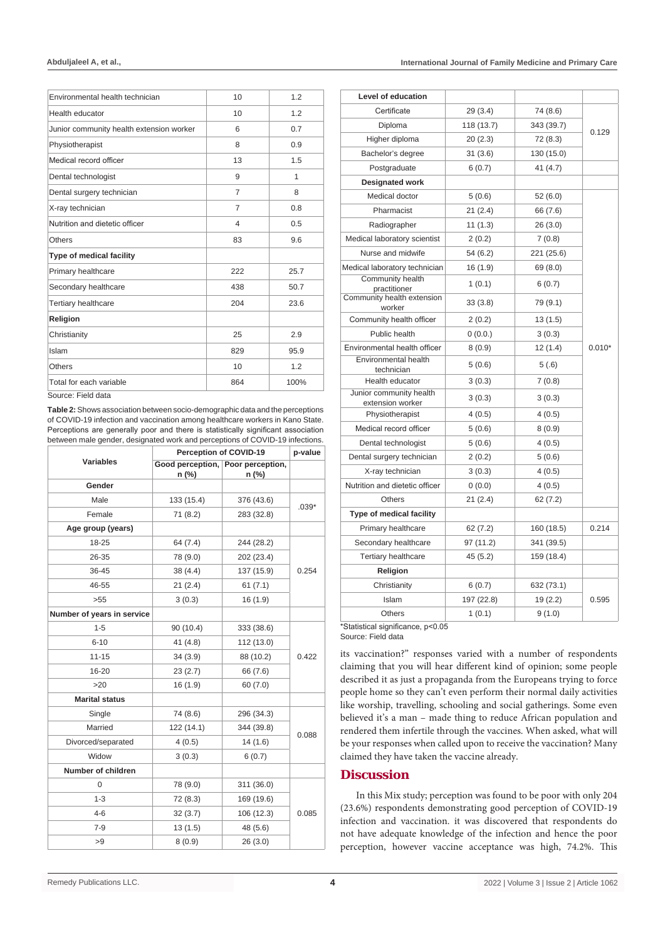| Environmental health technician          | 10  | 1.2  |
|------------------------------------------|-----|------|
| Health educator                          | 10  | 1.2  |
| Junior community health extension worker | 6   | 0.7  |
| Physiotherapist                          | 8   | 0.9  |
| Medical record officer                   | 13  | 1.5  |
| Dental technologist                      | 9   | 1    |
| Dental surgery technician                | 7   | 8    |
| X-ray technician                         | 7   | 0.8  |
| Nutrition and dietetic officer           | 4   | 0.5  |
| Others                                   | 83  | 9.6  |
| Type of medical facility                 |     |      |
| Primary healthcare                       | 222 | 25.7 |
| Secondary healthcare                     | 438 | 50.7 |
| <b>Tertiary healthcare</b>               | 204 | 23.6 |
| Religion                                 |     |      |
| Christianity                             | 25  | 2.9  |
| Islam                                    | 829 | 95.9 |
| <b>Others</b>                            | 10  | 1.2  |
| Total for each variable                  | 864 | 100% |
| Source: Field data                       |     |      |

rce: Field data

**Table 2:** Shows association between socio-demographic data and the perceptions of COVID-19 infection and vaccination among healthcare workers in Kano State. Perceptions are generally poor and there is statistically significant association between male gender, designated work and perceptions of COVID-19 infections.

|                            | Perception of COVID-19                     |            | p-value |  |
|----------------------------|--------------------------------------------|------------|---------|--|
| <b>Variables</b>           | Good perception, Poor perception,<br>n (%) | $n$ (%)    |         |  |
| Gender                     |                                            |            |         |  |
| Male                       | 133 (15.4)                                 | 376 (43.6) | $.039*$ |  |
| Female                     | 71(8.2)                                    | 283 (32.8) |         |  |
| Age group (years)          |                                            |            |         |  |
| 18-25                      | 64 (7.4)                                   | 244 (28.2) |         |  |
| 26-35                      | 78 (9.0)                                   | 202 (23.4) |         |  |
| 36-45                      | 38 (4.4)                                   | 137 (15.9) | 0.254   |  |
| 46-55                      | 21(2.4)                                    | 61(7.1)    |         |  |
| >55                        | 3(0.3)                                     | 16(1.9)    |         |  |
| Number of years in service |                                            |            |         |  |
| $1 - 5$                    | 90 (10.4)                                  | 333 (38.6) |         |  |
| $6 - 10$                   | 41 $(4.8)$                                 | 112 (13.0) | 0.422   |  |
| $11 - 15$                  | 34(3.9)                                    | 88 (10.2)  |         |  |
| 16-20                      | 23(2.7)                                    | 66 (7.6)   |         |  |
| >20                        | 16(1.9)                                    | 60(7.0)    |         |  |
| <b>Marital status</b>      |                                            |            |         |  |
| Single                     | 74 (8.6)                                   | 296 (34.3) |         |  |
| Married                    | 122 (14.1)                                 | 344 (39.8) |         |  |
| Divorced/separated         | 4(0.5)                                     | 14(1.6)    | 0.088   |  |
| Widow                      | 3(0.3)                                     | 6(0.7)     |         |  |
| Number of children         |                                            |            |         |  |
| 0                          | 78 (9.0)                                   | 311 (36.0) | 0.085   |  |
| $1 - 3$                    | 72 (8.3)                                   | 169 (19.6) |         |  |
| $4 - 6$                    | 32(3.7)                                    | 106 (12.3) |         |  |
| $7-9$                      | 13(1.5)                                    | 48 (5.6)   |         |  |
| >9                         | 8(0.9)                                     | 26(3.0)    |         |  |
|                            |                                            |            |         |  |

| Level of education                          |            |            |          |  |
|---------------------------------------------|------------|------------|----------|--|
| Certificate                                 | 29 (3.4)   | 74 (8.6)   |          |  |
| Diploma                                     | 118 (13.7) | 343 (39.7) |          |  |
| Higher diploma                              | 20(2.3)    | 72 (8.3)   | 0.129    |  |
| Bachelor's degree                           | 31(3.6)    | 130 (15.0) |          |  |
| Postgraduate                                | 6(0.7)     | 41(4.7)    |          |  |
| <b>Designated work</b>                      |            |            |          |  |
| Medical doctor                              | 5(0.6)     | 52(6.0)    |          |  |
| Pharmacist                                  | 21(2.4)    | 66 (7.6)   |          |  |
| Radiographer                                | 11(1.3)    | 26(3.0)    |          |  |
| Medical laboratory scientist                | 2(0.2)     | 7(0.8)     |          |  |
| Nurse and midwife                           | 54 (6.2)   | 221 (25.6) |          |  |
| Medical laboratory technician               | 16 (1.9)   | 69 (8.0)   |          |  |
| Community health<br>practitioner            | 1(0.1)     | 6(0.7)     |          |  |
| Community health extension<br>worker        | 33(3.8)    | 79 (9.1)   |          |  |
| Community health officer                    | 2(0.2)     | 13(1.5)    |          |  |
| Public health                               | 0(0.0.)    | 3(0.3)     |          |  |
| Environmental health officer                | 8(0.9)     | 12(1.4)    | $0.010*$ |  |
| <b>Environmental health</b><br>technician   | 5(0.6)     | 5(.6)      |          |  |
| Health educator                             | 3(0.3)     | 7(0.8)     |          |  |
| Junior community health<br>extension worker | 3(0.3)     | 3(0.3)     |          |  |
| Physiotherapist                             | 4(0.5)     | 4(0.5)     |          |  |
| Medical record officer                      | 5(0.6)     | 8(0.9)     |          |  |
| Dental technologist                         | 5(0.6)     | 4(0.5)     |          |  |
| Dental surgery technician                   | 2(0.2)     | 5(0.6)     |          |  |
| X-ray technician                            | 3(0.3)     | 4(0.5)     |          |  |
| Nutrition and dietetic officer              | 0(0.0)     | 4(0.5)     |          |  |
| <b>Others</b>                               | 21 (2.4)   | 62 (7.2)   |          |  |
| Type of medical facility                    |            |            |          |  |
| Primary healthcare                          | 62(7.2)    | 160 (18.5) | 0.214    |  |
| Secondary healthcare                        | 97 (11.2)  | 341 (39.5) |          |  |
| Tertiary healthcare                         | 45(5.2)    | 159 (18.4) |          |  |
| Religion                                    |            |            |          |  |
| Christianity                                | 6(0.7)     | 632 (73.1) |          |  |
| Islam                                       | 197 (22.8) | 19(2.2)    | 0.595    |  |
| Others                                      | 1(0.1)     | 9(1.0)     |          |  |

\*Statistical significance, p<0.05

Source: Field data

its vaccination?" responses varied with a number of respondents claiming that you will hear different kind of opinion; some people described it as just a propaganda from the Europeans trying to force people home so they can't even perform their normal daily activities like worship, travelling, schooling and social gatherings. Some even believed it's a man – made thing to reduce African population and rendered them infertile through the vaccines. When asked, what will be your responses when called upon to receive the vaccination? Many claimed they have taken the vaccine already.

# **Discussion**

In this Mix study; perception was found to be poor with only 204 (23.6%) respondents demonstrating good perception of COVID-19 infection and vaccination. it was discovered that respondents do not have adequate knowledge of the infection and hence the poor perception, however vaccine acceptance was high, 74.2%. This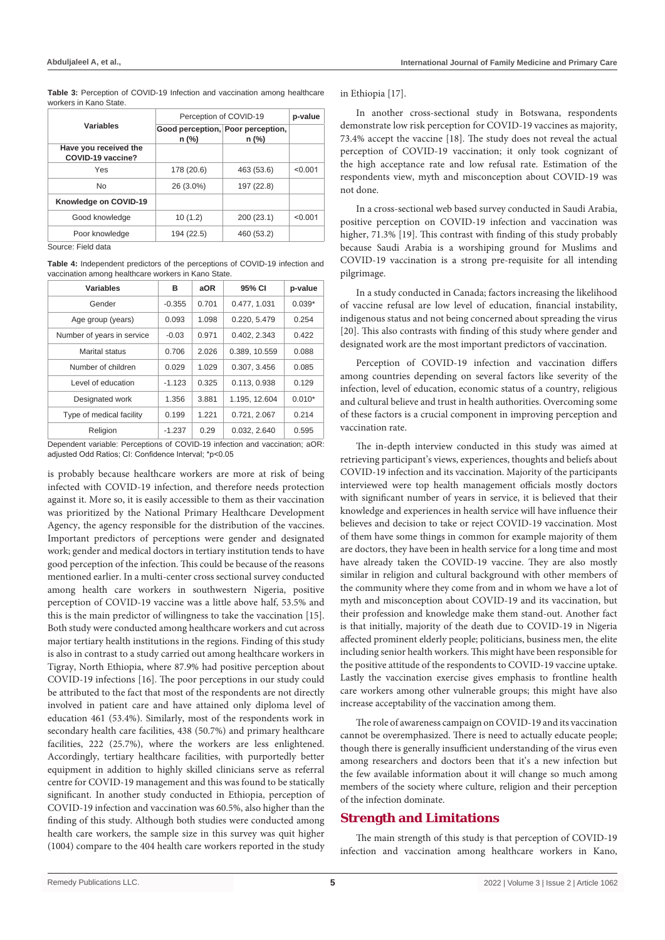**Table 3:** Perception of COVID-19 Infection and vaccination among healthcare workers in Kano State.

|                                            | Perception of COVID-19                       |            | p-value |
|--------------------------------------------|----------------------------------------------|------------|---------|
| Variables                                  | Good perception, Poor perception,<br>$n$ (%) | n (%)      |         |
| Have you received the<br>COVID-19 vaccine? |                                              |            |         |
| Yes                                        | 178 (20.6)                                   | 463 (53.6) | < 0.001 |
| <b>No</b>                                  | 26 (3.0%)                                    | 197 (22.8) |         |
| Knowledge on COVID-19                      |                                              |            |         |
| Good knowledge                             | 10(1.2)                                      | 200 (23.1) | < 0.001 |
| Poor knowledge                             | 194 (22.5)                                   | 460 (53.2) |         |

Source: Field data

**Table 4:** Independent predictors of the perceptions of COVID-19 infection and vaccination among healthcare workers in Kano State.

| Variables                  | в        | aOR   | 95% CI        | p-value  |
|----------------------------|----------|-------|---------------|----------|
| Gender                     | $-0.355$ | 0.701 | 0.477, 1.031  | $0.039*$ |
| Age group (years)          | 0.093    | 1.098 | 0.220, 5.479  | 0.254    |
| Number of years in service | $-0.03$  | 0.971 | 0.402, 2.343  | 0.422    |
| Marital status             | 0.706    | 2.026 | 0.389, 10.559 | 0.088    |
| Number of children         | 0.029    | 1.029 | 0.307, 3.456  | 0.085    |
| Level of education         | $-1.123$ | 0.325 | 0.113, 0.938  | 0.129    |
| Designated work            | 1.356    | 3.881 | 1.195, 12.604 | $0.010*$ |
| Type of medical facility   | 0.199    | 1.221 | 0.721, 2.067  | 0.214    |
| Religion                   | $-1.237$ | 0.29  | 0.032, 2.640  | 0.595    |

Dependent variable: Perceptions of COVID-19 infection and vaccination; aOR: adjusted Odd Ratios; CI: Confidence Interval; \*p<0.05

is probably because healthcare workers are more at risk of being infected with COVID-19 infection, and therefore needs protection against it. More so, it is easily accessible to them as their vaccination was prioritized by the National Primary Healthcare Development Agency, the agency responsible for the distribution of the vaccines. Important predictors of perceptions were gender and designated work; gender and medical doctors in tertiary institution tends to have good perception of the infection. This could be because of the reasons mentioned earlier. In a multi-center cross sectional survey conducted among health care workers in southwestern Nigeria, positive perception of COVID-19 vaccine was a little above half, 53.5% and this is the main predictor of willingness to take the vaccination [15]. Both study were conducted among healthcare workers and cut across major tertiary health institutions in the regions. Finding of this study is also in contrast to a study carried out among healthcare workers in Tigray, North Ethiopia, where 87.9% had positive perception about COVID-19 infections [16]. The poor perceptions in our study could be attributed to the fact that most of the respondents are not directly involved in patient care and have attained only diploma level of education 461 (53.4%). Similarly, most of the respondents work in secondary health care facilities, 438 (50.7%) and primary healthcare facilities, 222 (25.7%), where the workers are less enlightened. Accordingly, tertiary healthcare facilities, with purportedly better equipment in addition to highly skilled clinicians serve as referral centre for COVID-19 management and this was found to be statically significant. In another study conducted in Ethiopia, perception of COVID-19 infection and vaccination was 60.5%, also higher than the finding of this study. Although both studies were conducted among health care workers, the sample size in this survey was quit higher (1004) compare to the 404 health care workers reported in the study in Ethiopia [17].

In another cross-sectional study in Botswana, respondents demonstrate low risk perception for COVID-19 vaccines as majority, 73.4% accept the vaccine [18]. The study does not reveal the actual perception of COVID-19 vaccination; it only took cognizant of the high acceptance rate and low refusal rate. Estimation of the respondents view, myth and misconception about COVID-19 was not done.

In a cross-sectional web based survey conducted in Saudi Arabia, positive perception on COVID-19 infection and vaccination was higher, 71.3% [19]. This contrast with finding of this study probably because Saudi Arabia is a worshiping ground for Muslims and COVID-19 vaccination is a strong pre-requisite for all intending pilgrimage.

In a study conducted in Canada; factors increasing the likelihood of vaccine refusal are low level of education, financial instability, indigenous status and not being concerned about spreading the virus [20]. This also contrasts with finding of this study where gender and designated work are the most important predictors of vaccination.

Perception of COVID-19 infection and vaccination differs among countries depending on several factors like severity of the infection, level of education, economic status of a country, religious and cultural believe and trust in health authorities. Overcoming some of these factors is a crucial component in improving perception and vaccination rate.

The in-depth interview conducted in this study was aimed at retrieving participant's views, experiences, thoughts and beliefs about COVID-19 infection and its vaccination. Majority of the participants interviewed were top health management officials mostly doctors with significant number of years in service, it is believed that their knowledge and experiences in health service will have influence their believes and decision to take or reject COVID-19 vaccination. Most of them have some things in common for example majority of them are doctors, they have been in health service for a long time and most have already taken the COVID-19 vaccine. They are also mostly similar in religion and cultural background with other members of the community where they come from and in whom we have a lot of myth and misconception about COVID-19 and its vaccination, but their profession and knowledge make them stand-out. Another fact is that initially, majority of the death due to COVID-19 in Nigeria affected prominent elderly people; politicians, business men, the elite including senior health workers. This might have been responsible for the positive attitude of the respondents to COVID-19 vaccine uptake. Lastly the vaccination exercise gives emphasis to frontline health care workers among other vulnerable groups; this might have also increase acceptability of the vaccination among them.

The role of awareness campaign on COVID-19 and its vaccination cannot be overemphasized. There is need to actually educate people; though there is generally insufficient understanding of the virus even among researchers and doctors been that it's a new infection but the few available information about it will change so much among members of the society where culture, religion and their perception of the infection dominate.

# **Strength and Limitations**

The main strength of this study is that perception of COVID-19 infection and vaccination among healthcare workers in Kano,